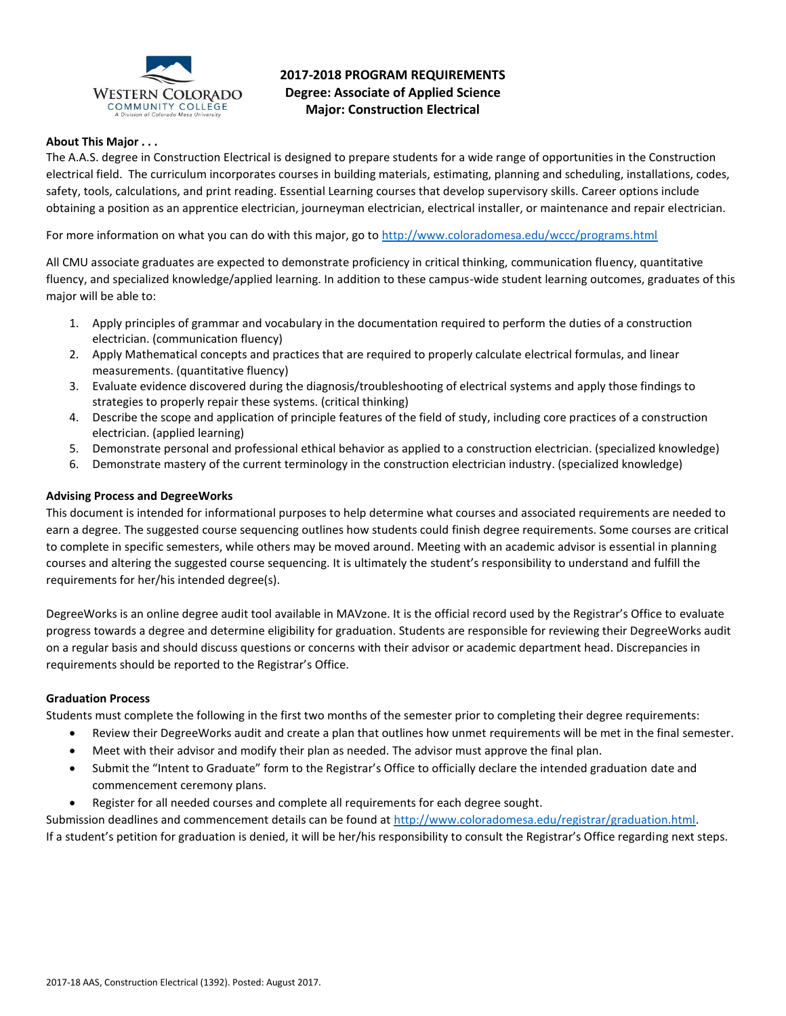

# **2017-2018 PROGRAM REQUIREMENTS Degree: Associate of Applied Science Major: Construction Electrical**

# **About This Major . . .**

The A.A.S. degree in Construction Electrical is designed to prepare students for a wide range of opportunities in the Construction electrical field. The curriculum incorporates courses in building materials, estimating, planning and scheduling, installations, codes, safety, tools, calculations, and print reading. Essential Learning courses that develop supervisory skills. Career options include obtaining a position as an apprentice electrician, journeyman electrician, electrical installer, or maintenance and repair electrician.

For more information on what you can do with this major, go t[o http://www.coloradomesa.edu/wccc/programs.html](http://www.coloradomesa.edu/wccc/programs.html)

All CMU associate graduates are expected to demonstrate proficiency in critical thinking, communication fluency, quantitative fluency, and specialized knowledge/applied learning. In addition to these campus-wide student learning outcomes, graduates of this major will be able to:

- 1. Apply principles of grammar and vocabulary in the documentation required to perform the duties of a construction electrician. (communication fluency)
- 2. Apply Mathematical concepts and practices that are required to properly calculate electrical formulas, and linear measurements. (quantitative fluency)
- 3. Evaluate evidence discovered during the diagnosis/troubleshooting of electrical systems and apply those findings to strategies to properly repair these systems. (critical thinking)
- 4. Describe the scope and application of principle features of the field of study, including core practices of a construction electrician. (applied learning)
- 5. Demonstrate personal and professional ethical behavior as applied to a construction electrician. (specialized knowledge)
- 6. Demonstrate mastery of the current terminology in the construction electrician industry. (specialized knowledge)

# **Advising Process and DegreeWorks**

This document is intended for informational purposes to help determine what courses and associated requirements are needed to earn a degree. The suggested course sequencing outlines how students could finish degree requirements. Some courses are critical to complete in specific semesters, while others may be moved around. Meeting with an academic advisor is essential in planning courses and altering the suggested course sequencing. It is ultimately the student's responsibility to understand and fulfill the requirements for her/his intended degree(s).

DegreeWorks is an online degree audit tool available in MAVzone. It is the official record used by the Registrar's Office to evaluate progress towards a degree and determine eligibility for graduation. Students are responsible for reviewing their DegreeWorks audit on a regular basis and should discuss questions or concerns with their advisor or academic department head. Discrepancies in requirements should be reported to the Registrar's Office.

# **Graduation Process**

Students must complete the following in the first two months of the semester prior to completing their degree requirements:

- Review their DegreeWorks audit and create a plan that outlines how unmet requirements will be met in the final semester.
- Meet with their advisor and modify their plan as needed. The advisor must approve the final plan.
- Submit the "Intent to Graduate" form to the Registrar's Office to officially declare the intended graduation date and commencement ceremony plans.
- Register for all needed courses and complete all requirements for each degree sought.

Submission deadlines and commencement details can be found at [http://www.coloradomesa.edu/registrar/graduation.html.](http://www.coloradomesa.edu/registrar/graduation.html) If a student's petition for graduation is denied, it will be her/his responsibility to consult the Registrar's Office regarding next steps.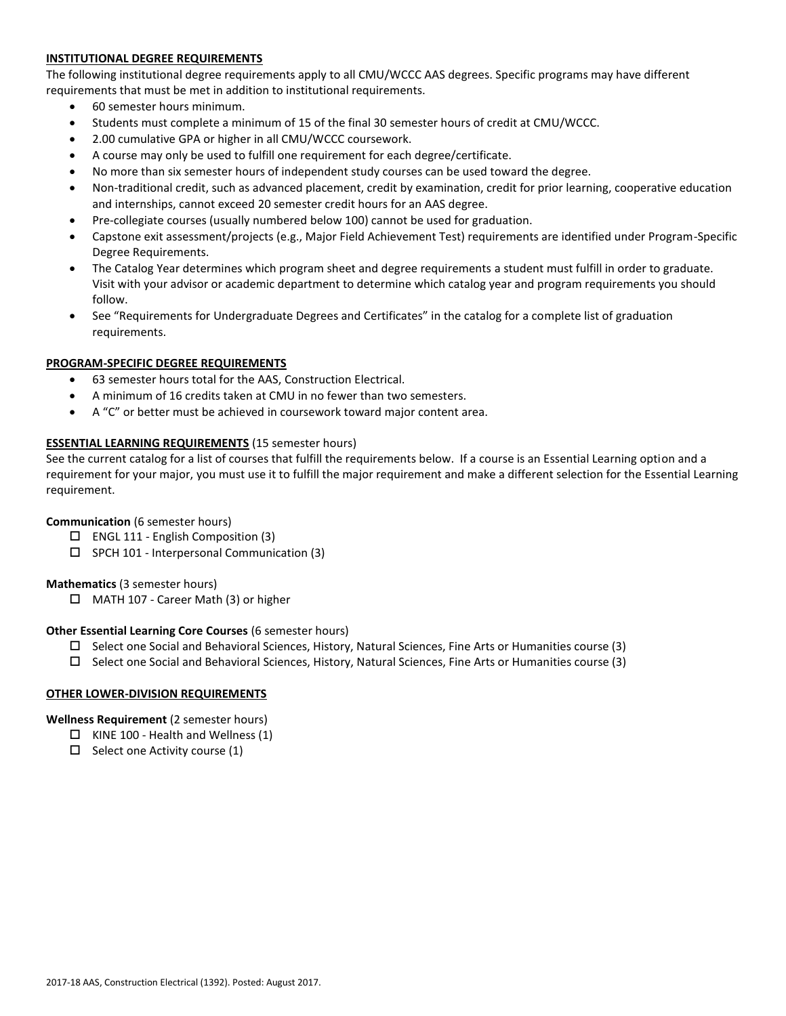# **INSTITUTIONAL DEGREE REQUIREMENTS**

The following institutional degree requirements apply to all CMU/WCCC AAS degrees. Specific programs may have different requirements that must be met in addition to institutional requirements.

- 60 semester hours minimum.
- Students must complete a minimum of 15 of the final 30 semester hours of credit at CMU/WCCC.
- 2.00 cumulative GPA or higher in all CMU/WCCC coursework.
- A course may only be used to fulfill one requirement for each degree/certificate.
- No more than six semester hours of independent study courses can be used toward the degree.
- Non-traditional credit, such as advanced placement, credit by examination, credit for prior learning, cooperative education and internships, cannot exceed 20 semester credit hours for an AAS degree.
- Pre-collegiate courses (usually numbered below 100) cannot be used for graduation.
- Capstone exit assessment/projects (e.g., Major Field Achievement Test) requirements are identified under Program-Specific Degree Requirements.
- The Catalog Year determines which program sheet and degree requirements a student must fulfill in order to graduate. Visit with your advisor or academic department to determine which catalog year and program requirements you should follow.
- See "Requirements for Undergraduate Degrees and Certificates" in the catalog for a complete list of graduation requirements.

## **PROGRAM-SPECIFIC DEGREE REQUIREMENTS**

- 63 semester hours total for the AAS, Construction Electrical.
- A minimum of 16 credits taken at CMU in no fewer than two semesters.
- A "C" or better must be achieved in coursework toward major content area.

## **ESSENTIAL LEARNING REQUIREMENTS** (15 semester hours)

See the current catalog for a list of courses that fulfill the requirements below. If a course is an Essential Learning option and a requirement for your major, you must use it to fulfill the major requirement and make a different selection for the Essential Learning requirement.

#### **Communication** (6 semester hours)

- $\square$  ENGL 111 English Composition (3)
- $\square$  SPCH 101 Interpersonal Communication (3)

#### **Mathematics** (3 semester hours)

□ MATH 107 - Career Math (3) or higher

#### **Other Essential Learning Core Courses** (6 semester hours)

- $\Box$  Select one Social and Behavioral Sciences, History, Natural Sciences, Fine Arts or Humanities course (3)
- $\square$  Select one Social and Behavioral Sciences, History, Natural Sciences, Fine Arts or Humanities course (3)

#### **OTHER LOWER-DIVISION REQUIREMENTS**

# **Wellness Requirement** (2 semester hours)

- $\Box$  KINE 100 Health and Wellness (1)
- $\Box$  Select one Activity course (1)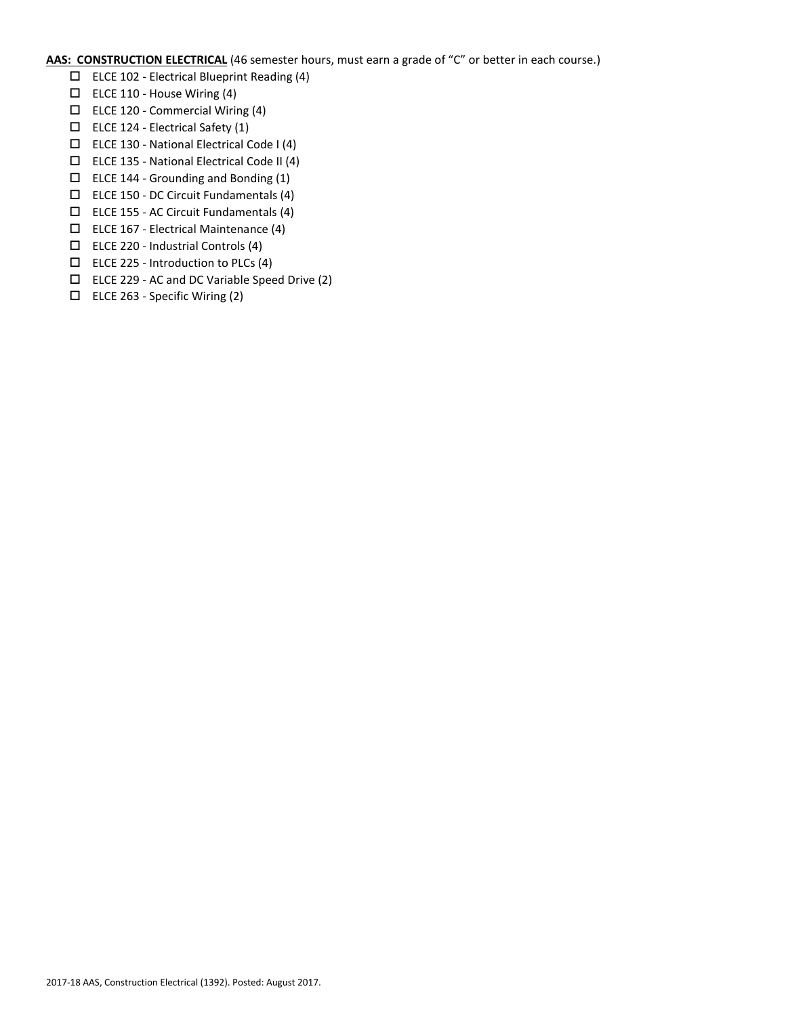**AAS: CONSTRUCTION ELECTRICAL** (46 semester hours, must earn a grade of "C" or better in each course.)

- $\square$  ELCE 102 Electrical Blueprint Reading (4)
- $\square$  ELCE 110 House Wiring (4)
- $\Box$  ELCE 120 Commercial Wiring (4)
- $\Box$  ELCE 124 Electrical Safety (1)
- $\Box$  ELCE 130 National Electrical Code I (4)
- ELCE 135 National Electrical Code II (4)
- $\Box$  ELCE 144 Grounding and Bonding (1)
- ELCE 150 DC Circuit Fundamentals (4)
- $\square$  ELCE 155 AC Circuit Fundamentals (4)
- ELCE 167 Electrical Maintenance (4)
- $\Box$  ELCE 220 Industrial Controls (4)
- $\Box$  ELCE 225 Introduction to PLCs (4)
- ELCE 229 AC and DC Variable Speed Drive (2)
- ELCE 263 Specific Wiring (2)